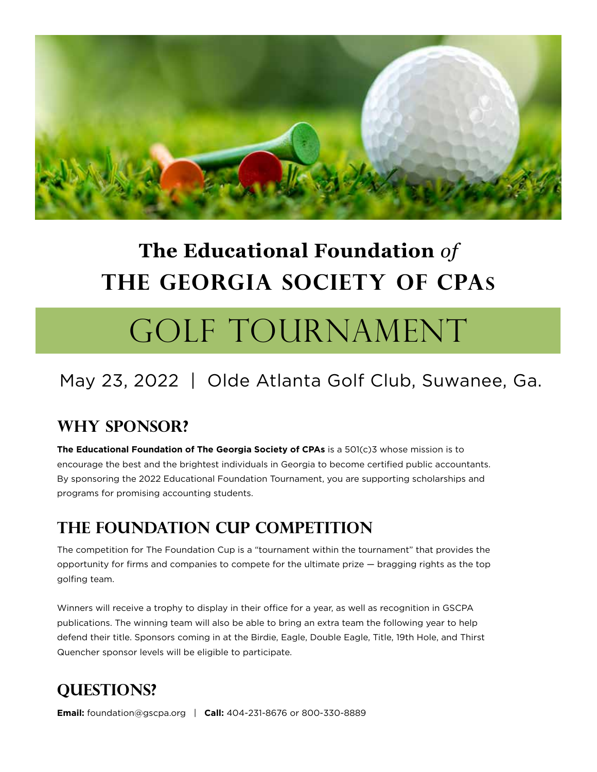

# **The Educational Foundation** *of* **The Georgia Society of CPAs**

# GOLF TOURNAMENT

# May 23, 2022 | Olde Atlanta Golf Club, Suwanee, Ga.

### **Why Sponsor?**

**The Educational Foundation of The Georgia Society of CPAs** is a 501(c)3 whose mission is to encourage the best and the brightest individuals in Georgia to become certified public accountants. By sponsoring the 2022 Educational Foundation Tournament, you are supporting scholarships and programs for promising accounting students.

### **The Foundation cup competition**

The competition for The Foundation Cup is a "tournament within the tournament" that provides the opportunity for firms and companies to compete for the ultimate prize — bragging rights as the top golfing team.

Winners will receive a trophy to display in their office for a year, as well as recognition in GSCPA publications. The winning team will also be able to bring an extra team the following year to help defend their title. Sponsors coming in at the Birdie, Eagle, Double Eagle, Title, 19th Hole, and Thirst Quencher sponsor levels will be eligible to participate.

### **Questions?**

**Email:** foundation@gscpa.org | **Call:** 404-231-8676 or 800-330-8889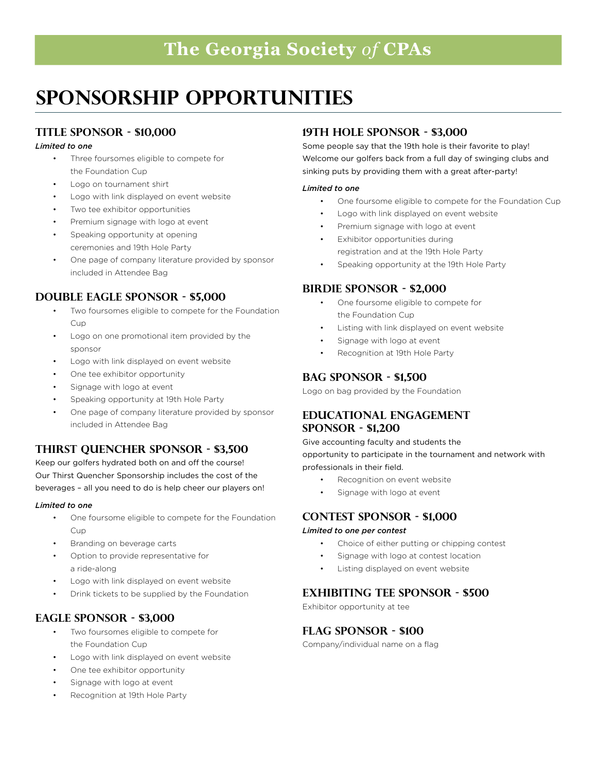### **The Georgia Society** *of* **CPAs**

# **Sponsorship Opportunities**

#### **Title Sponsor - \$10,000**

#### *Limited to one*

- Three foursomes eligible to compete for the Foundation Cup
- Logo on tournament shirt
- Logo with link displayed on event website
- Two tee exhibitor opportunities
- Premium signage with logo at event
- Speaking opportunity at opening ceremonies and 19th Hole Party
- One page of company literature provided by sponsor included in Attendee Bag

#### **Double Eagle Sponsor - \$5,000**

- Two foursomes eligible to compete for the Foundation Cup
- Logo on one promotional item provided by the sponsor
- Logo with link displayed on event website
- One tee exhibitor opportunity
- Signage with logo at event
- Speaking opportunity at 19th Hole Party
- One page of company literature provided by sponsor included in Attendee Bag

#### **Thirst Quencher Sponsor - \$3,500**

Keep our golfers hydrated both on and off the course! Our Thirst Quencher Sponsorship includes the cost of the beverages – all you need to do is help cheer our players on!

#### *Limited to one*

- One foursome eligible to compete for the Foundation Cup
- Branding on beverage carts
- Option to provide representative for a ride-along
- Logo with link displayed on event website
- Drink tickets to be supplied by the Foundation

#### **Eagle Sponsor - \$3,000**

- Two foursomes eligible to compete for the Foundation Cup
- Logo with link displayed on event website
- One tee exhibitor opportunity
- Signage with logo at event
- Recognition at 19th Hole Party

#### **19th Hole sponsor - \$3,000**

Some people say that the 19th hole is their favorite to play! Welcome our golfers back from a full day of swinging clubs and sinking puts by providing them with a great after-party!

#### *Limited to one*

- One foursome eligible to compete for the Foundation Cup
- Logo with link displayed on event website
- Premium signage with logo at event
- Exhibitor opportunities during registration and at the 19th Hole Party
- Speaking opportunity at the 19th Hole Party

#### **Birdie Sponsor - \$2,000**

- One foursome eligible to compete for the Foundation Cup
- Listing with link displayed on event website
- Signage with logo at event
- Recognition at 19th Hole Party

#### **BAG Sponsor - \$1,500**

Logo on bag provided by the Foundation

#### **EDUCATIONAL ENGAGEMENT Sponsor - \$1,200**

Give accounting faculty and students the opportunity to participate in the tournament and network with

- professionals in their field. • Recognition on event website
	- Signage with logo at event

#### **Contest Sponsor - \$1,000**

#### *Limited to one per contest*

- Choice of either putting or chipping contest
- Signage with logo at contest location
- Listing displayed on event website

#### **Exhibiting Tee Sponsor - \$500**

Exhibitor opportunity at tee

#### **FLAG Sponsor - \$100**

Company/individual name on a flag